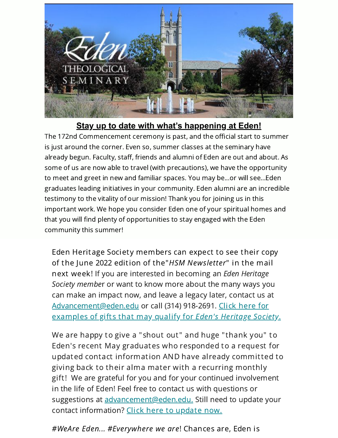

## **Stay up to date with what's happening at Eden!**

The 172nd Commencement ceremony is past, and the official start to summer is just around the corner. Even so, summer classes at the seminary have already begun. Faculty, staff, friends and alumni of Eden are out and about. As some of us are now able to travel (with precautions), we have the opportunity to meet and greet in new and familiar spaces. You may be...or will see...Eden graduates leading initiatives in your community. Eden alumni are an incredible testimony to the vitality of our mission! Thank you for joining us in this important work. We hope you consider Eden one of your spiritual homes and that you will find plenty of opportunities to stay engaged with the Eden community this summer!

Eden Heritage Society members can expect to see their copy of the June 2022 edition of the"HSM Newsletter" in the mail next week! If you are interested in becoming an *Eden Heritage* Society member or want to know more about the many ways you can make an impact now, and leave a legacy later, contact us at [Advancement@eden.ed](mailto:advancement@eden.edu?subject=Eden%27s%20Heritage%20Society&body=Tell%20me%20more%20about%20the%20HSM)[u](https://www.eden.edu/types-of-gifts/) or call (314) 918-2691. Click here for examples of gifts that may qualify for Eden's Heritage Society.

We are happy to give a "shout out" and huge "thank you" to Eden's recent May graduates who responded to a request for updated contact information AND have already committed to giving back to their alma mater with a recurring monthly gift! We are grateful for you and for your continued involvement in the life of Eden! Feel free to contact us with questions or suggestions at [advancement@eden.edu.](mailto:advancement@eden.edu?subject=Questions%20or%20update) Still need to update your contact information? Click here to [update](https://form.jotform.com/201384415227147) now.

#WeAre Eden... #Everywhere we are! Chances are, Eden is